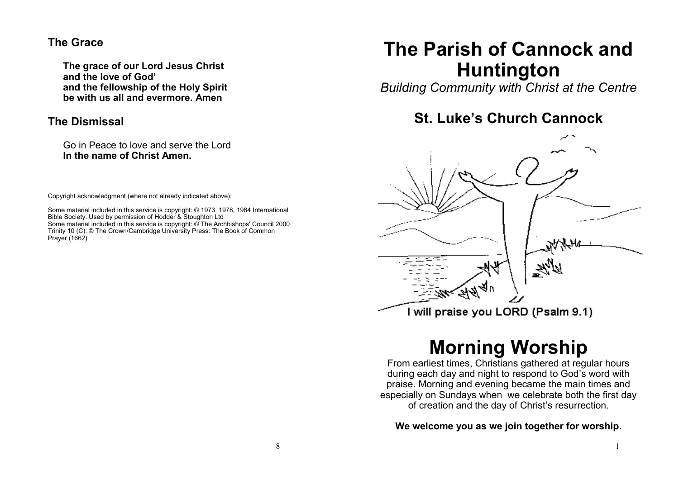#### **The Grace**

**The grace of our Lord Jesus Christ and the love of God' and the fellowship of the Holy Spirit be with us all and evermore. Amen**

#### **The Dismissal**

Go in Peace to love and serve the Lord **In the name of Christ Amen.**

Copyright acknowledgment (where not already indicated above):

Some material included in this service is copyright: © 1973, 1978, 1984 International Bible Society. Used by permission of Hodder & Stoughton Ltd Some material included in this service is copyright: © The Archbishops' Council 2000 Trinity 10 (C): © The Crown/Cambridge University Press: The Book of Common Prayer (1662)

## **The Parish of Cannock and Huntington**

*Building Community with Christ at the Centre*

## **St. Luke's Church Cannock**



# **Morning Worship**

From earliest times, Christians gathered at regular hours during each day and night to respond to God's word with praise. Morning and evening became the main times and especially on Sundays when we celebrate both the first day of creation and the day of Christ's resurrection.

**We welcome you as we join together for worship.**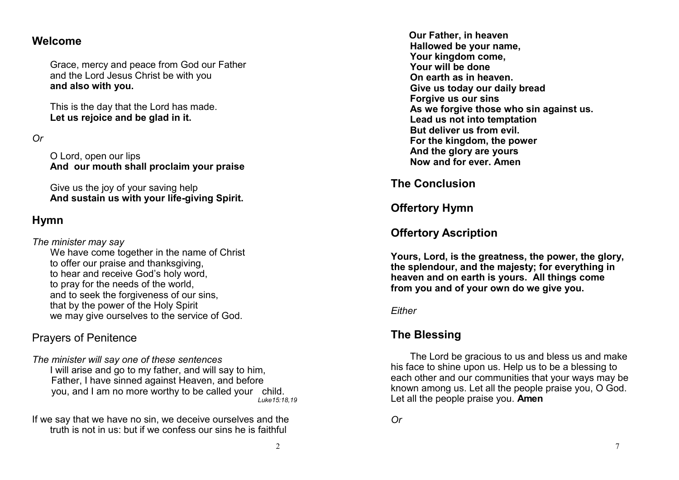#### **Welcome**

Grace, mercy and peace from God our Father and the Lord Jesus Christ be with you **and also with you.**

This is the day that the Lord has made. **Let us rejoice and be glad in it.**

*Or*

O Lord, open our lips **And our mouth shall proclaim your praise**

Give us the joy of your saving help **And sustain us with your life-giving Spirit.**

## **Hymn**

*The minister may say*

We have come together in the name of Christ to offer our praise and thanksgiving, to hear and receive God's holy word, to pray for the needs of the world, and to seek the forgiveness of our sins, that by the power of the Holy Spirit we may give ourselves to the service of God.

## Prayers of Penitence

*The minister will say one of these sentences* I will arise and go to my father, and will say to him, Father, I have sinned against Heaven, and before you, and I am no more worthy to be called your child. *Luke15:18,19*

If we say that we have no sin, we deceive ourselves and the truth is not in us: but if we confess our sins he is faithful

**Our Father, in heaven Hallowed be your name, Your kingdom come, Your will be done On earth as in heaven. Give us today our daily bread Forgive us our sins As we forgive those who sin against us. Lead us not into temptation But deliver us from evil. For the kingdom, the power And the glory are yours Now and for ever. Amen**

**The Conclusion**

**Offertory Hymn**

## **Offertory Ascription**

**Yours, Lord, is the greatness, the power, the glory, the splendour, and the majesty; for everything in heaven and on earth is yours. All things come from you and of your own do we give you.**

#### *Either*

## **The Blessing**

The Lord be gracious to us and bless us and make his face to shine upon us. Help us to be a blessing to each other and our communities that your ways may be known among us. Let all the people praise you, O God. Let all the people praise you. **Amen**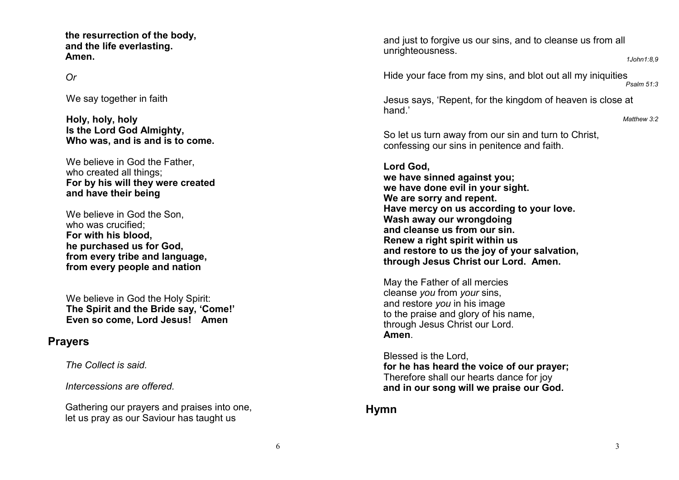**the resurrection of the body, and the life everlasting. Amen.**

#### *Or*

We say together in faith

**Holy, holy, holy Is the Lord God Almighty, Who was, and is and is to come.**

We believe in God the Father. who created all things; **For by his will they were created and have their being**

We believe in God the Son. who was crucified: **For with his blood, he purchased us for God, from every tribe and language, from every people and nation**

We believe in God the Holy Spirit: **The Spirit and the Bride say, 'Come!' Even so come, Lord Jesus! Amen**

#### **Prayers**

*The Collect is said.*

*Intercessions are offered.*

Gathering our prayers and praises into one, let us pray as our Saviour has taught us

and just to forgive us our sins, and to cleanse us from all unrighteousness.

*1John1:8,9*

Hide your face from my sins, and blot out all my iniquities *Psalm 51:3*

Jesus says, 'Repent, for the kingdom of heaven is close at hand<sup>'</sup>

*Matthew 3:2*

So let us turn away from our sin and turn to Christ, confessing our sins in penitence and faith.

**Lord God, we have sinned against you; we have done evil in your sight. We are sorry and repent. Have mercy on us according to your love. Wash away our wrongdoing and cleanse us from our sin. Renew a right spirit within us and restore to us the joy of your salvation, through Jesus Christ our Lord. Amen.**

May the Father of all mercies cleanse *you* from *your* sins, and restore *you* in his image to the praise and glory of his name, through Jesus Christ our Lord. **Amen**.

Blessed is the Lord, **for he has heard the voice of our prayer;** Therefore shall our hearts dance for joy **and in our song will we praise our God.**